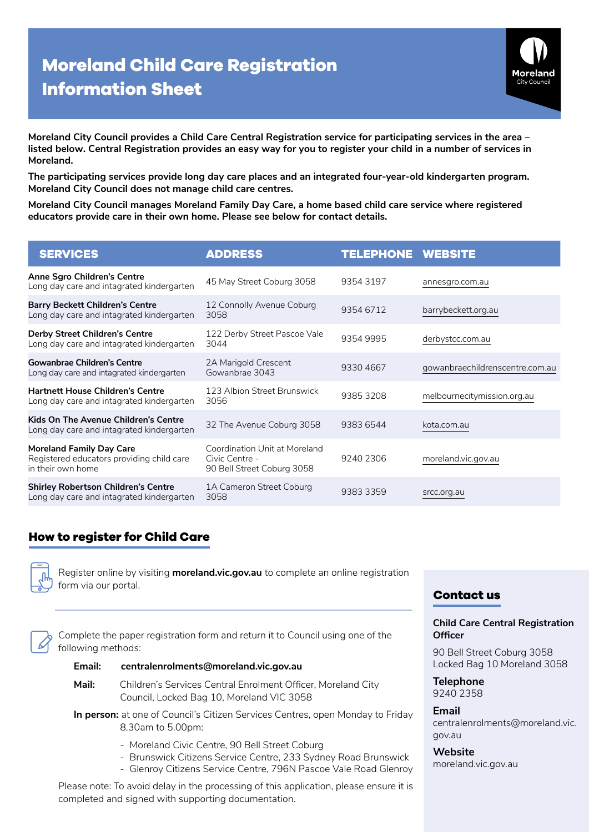# **Moreland Child Care Registration Information Sheet**



**Moreland City Council provides a Child Care Central Registration service for participating services in the area – listed below. Central Registration provides an easy way for you to register your child in a number of services in Moreland.** 

**The participating services provide long day care places and an integrated four-year-old kindergarten program. Moreland City Council does not manage child care centres.**

**Moreland City Council manages Moreland Family Day Care, a home based child care service where registered educators provide care in their own home. Please see below for contact details.** 

| <b>SERVICES</b>                                                                                   | <b>ADDRESS</b>                                                                | <b>TELEPHONE</b> | <b>WEBSITE</b>                  |
|---------------------------------------------------------------------------------------------------|-------------------------------------------------------------------------------|------------------|---------------------------------|
| Anne Sgro Children's Centre<br>Long day care and intagrated kindergarten                          | 45 May Street Coburg 3058                                                     | 9354 3197        | annesgro.com.au                 |
| <b>Barry Beckett Children's Centre</b><br>Long day care and intagrated kindergarten               | 12 Connolly Avenue Coburg<br>3058                                             | 9354 6712        | barrybeckett.org.au             |
| <b>Derby Street Children's Centre</b><br>Long day care and intagrated kindergarten                | 122 Derby Street Pascoe Vale<br>3044                                          | 9354 9995        | derbystcc.com.au                |
| <b>Gowanbrae Children's Centre</b><br>Long day care and intagrated kindergarten                   | 2A Marigold Crescent<br>Gowanbrae 3043                                        | 9330 4667        | gowanbraechildrenscentre.com.au |
| <b>Hartnett House Children's Centre</b><br>Long day care and intagrated kindergarten              | 123 Albion Street Brunswick<br>3056                                           | 93853208         | melbournecitymission.org.au     |
| Kids On The Avenue Children's Centre<br>Long day care and intagrated kindergarten                 | 32 The Avenue Coburg 3058                                                     | 9383 6544        | kota.com.au                     |
| <b>Moreland Family Day Care</b><br>Registered educators providing child care<br>in their own home | Coordination Unit at Moreland<br>Civic Centre -<br>90 Bell Street Coburg 3058 | 9240 2306        | moreland.vic.gov.au             |
| <b>Shirley Robertson Children's Centre</b><br>Long day care and intagrated kindergarten           | 1A Cameron Street Coburg<br>3058                                              | 9383 3359        | srcc.org.au                     |

# **How to register for Child Care**

Register online by visiting **[moreland.vic.gov.au](http://moreland.vic.gov.au)** to complete an online registration form via our portal.

Complete the paper registration form and return it to Council using one of the following methods:

#### **Email: [centralenrolments@moreland.vic.gov.au](mailto:centralenrolments%40moreland.vic.gov.au?subject=)**

- **Mail:** Children's Services Central Enrolment Officer, Moreland City Council, Locked Bag 10, Moreland VIC 3058
- **In person:** at one of Council's Citizen Services Centres, open Monday to Friday 8.30am to 5.00pm:
	- Moreland Civic Centre, 90 Bell Street Coburg
	- Brunswick Citizens Service Centre, 233 Sydney Road Brunswick
	- Glenroy Citizens Service Centre, 796N Pascoe Vale Road Glenroy

Please note: To avoid delay in the processing of this application, please ensure it is completed and signed with supporting documentation.

## **Contact us**

#### **Child Care Central Registration Officer**

90 Bell Street Coburg 3058 Locked Bag 10 Moreland 3058

**Telephone**  9240 2358

**Email**  centralenrolments@moreland.vic. gov.au

**Website** moreland.vic.gov.au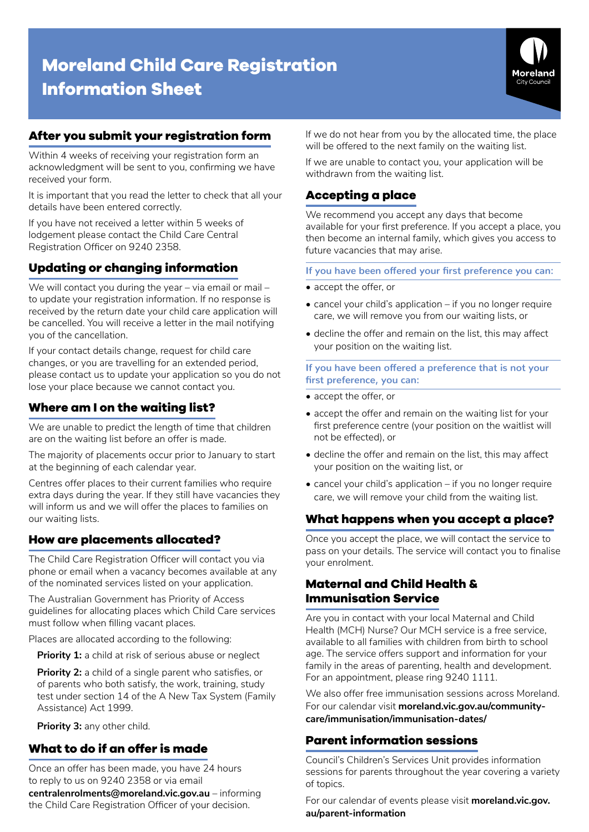# **Moreland Child Care Registration Information Sheet**



# **After you submit your registration form**

Within 4 weeks of receiving your registration form an acknowledgment will be sent to you, confirming we have received your form.

It is important that you read the letter to check that all your details have been entered correctly.

If you have not received a letter within 5 weeks of lodgement please contact the Child Care Central Registration Officer on 9240 2358.

# **Updating or changing information**

We will contact you during the year – via email or mail – to update your registration information. If no response is received by the return date your child care application will be cancelled. You will receive a letter in the mail notifying you of the cancellation.

If your contact details change, request for child care changes, or you are travelling for an extended period, please contact us to update your application so you do not lose your place because we cannot contact you.

# **Where am I on the waiting list?**

We are unable to predict the length of time that children are on the waiting list before an offer is made.

The majority of placements occur prior to January to start at the beginning of each calendar year.

Centres offer places to their current families who require extra days during the year. If they still have vacancies they will inform us and we will offer the places to families on our waiting lists.

## **How are placements allocated?**

The Child Care Registration Officer will contact you via phone or email when a vacancy becomes available at any of the nominated services listed on your application.

The Australian Government has Priority of Access guidelines for allocating places which Child Care services must follow when filling vacant places.

Places are allocated according to the following:

**Priority 1:** a child at risk of serious abuse or neglect

**Priority 2:** a child of a single parent who satisfies, or of parents who both satisfy, the work, training, study test under section 14 of the A New Tax System (Family Assistance) Act 1999.

**Priority 3:** any other child.

## **What to do if an offer is made**

Once an offer has been made, you have 24 hours to reply to us on 9240 2358 or via email

**[centralenrolments@moreland.vic.gov.au](mailto:centralenrolments%40moreland.vic.gov.au?subject=)** – informing the Child Care Registration Officer of your decision.

If we do not hear from you by the allocated time, the place will be offered to the next family on the waiting list.

If we are unable to contact you, your application will be withdrawn from the waiting list.

# **Accepting a place**

We recommend you accept any days that become available for your first preference. If you accept a place, you then become an internal family, which gives you access to future vacancies that may arise.

**If you have been offered your first preference you can:**

- accept the offer, or
- cancel your child's application if you no longer require care, we will remove you from our waiting lists, or
- decline the offer and remain on the list, this may affect your position on the waiting list.

**If you have been offered a preference that is not your first preference, you can:** 

- accept the offer, or
- accept the offer and remain on the waiting list for your first preference centre (your position on the waitlist will not be effected), or
- decline the offer and remain on the list, this may affect your position on the waiting list, or
- cancel your child's application if you no longer require care, we will remove your child from the waiting list.

## **What happens when you accept a place?**

Once you accept the place, we will contact the service to pass on your details. The service will contact you to finalise your enrolment.

# **Maternal and Child Health & Immunisation Service**

Are you in contact with your local Maternal and Child Health (MCH) Nurse? Our MCH service is a free service, available to all families with children from birth to school age. The service offers support and information for your family in the areas of parenting, health and development. For an appointment, please ring 9240 1111.

We also offer free immunisation sessions across Moreland. For our calendar visit **[moreland.vic.gov.au/community](http://moreland.vic.gov.au/community-care/immunisation/immunisation-dates/ )[care/immunisation/immunisation-dates/](http://moreland.vic.gov.au/community-care/immunisation/immunisation-dates/ )**

# **Parent information sessions**

Council's Children's Services Unit provides information sessions for parents throughout the year covering a variety of topics.

For our calendar of events please visit **[moreland.vic.gov.](http://moreland.vic.gov.au/parent-information ) [au/parent-information](http://moreland.vic.gov.au/parent-information )**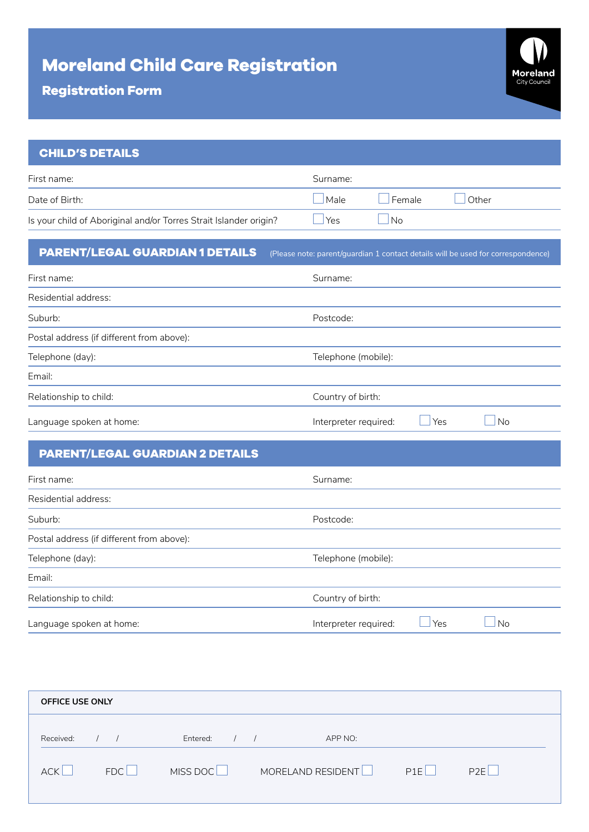# **Moreland Child Care Registration**



## **CHILD'S DETAILS**

| First name:                                                       | Surname: |                |          |
|-------------------------------------------------------------------|----------|----------------|----------|
| Date of Birth:                                                    | Male     | Female         | $O$ ther |
| Is your child of Aboriginal and/or Torres Strait Islander origin? | 'Yes     | N <sub>o</sub> |          |

# **PARENT/LEGAL GUARDIAN 1 DETAILS** (Please note: parent/guardian 1 contact details will be used for correspondence)

| First name:                               | Surname:                     |           |
|-------------------------------------------|------------------------------|-----------|
| Residential address:                      |                              |           |
| Suburb:                                   | Postcode:                    |           |
| Postal address (if different from above): |                              |           |
| Telephone (day):                          | Telephone (mobile):          |           |
| Email:                                    |                              |           |
| Relationship to child:                    | Country of birth:            |           |
| Language spoken at home:                  | Yes<br>Interpreter required: | <b>No</b> |

# **PARENT/LEGAL GUARDIAN 2 DETAILS**

| First name:                               | Surname:                     |    |
|-------------------------------------------|------------------------------|----|
| Residential address:                      |                              |    |
| Suburb:                                   | Postcode:                    |    |
| Postal address (if different from above): |                              |    |
| Telephone (day):                          | Telephone (mobile):          |    |
| Email:                                    |                              |    |
| Relationship to child:                    | Country of birth:            |    |
| Language spoken at home:                  | Yes<br>Interpreter required: | No |

| <b>OFFICE USE ONLY</b> |     |                        |                   |     |     |
|------------------------|-----|------------------------|-------------------|-----|-----|
| Received:              |     | Entered:<br>$\sqrt{ }$ | APP NO:           |     |     |
| <b>ACK</b>             | FDC | MISS DOC <sup>L</sup>  | MORELAND RESIDENT | P1F | P2F |
|                        |     |                        |                   |     |     |

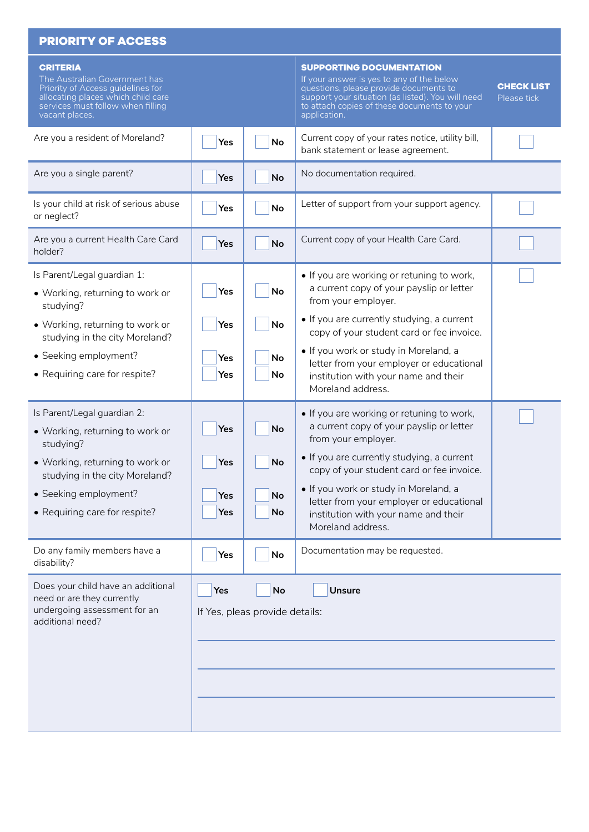| <b>PRIORITY OF ACCESS</b>                                                                                                                                                          |            |                                      |                                                                                                                                                                                                                                            |                                  |
|------------------------------------------------------------------------------------------------------------------------------------------------------------------------------------|------------|--------------------------------------|--------------------------------------------------------------------------------------------------------------------------------------------------------------------------------------------------------------------------------------------|----------------------------------|
| <b>CRITERIA</b><br>The Australian Government has<br>Priority of Access guidelines for<br>allocating places which child care<br>services must follow when filling<br>vacant places. |            |                                      | <b>SUPPORTING DOCUMENTATION</b><br>If your answer is yes to any of the below<br>questions, please provide documents to<br>support your situation (as listed). You will need<br>to attach copies of these documents to your<br>application. | <b>CHECK LIST</b><br>Please tick |
| Are you a resident of Moreland?                                                                                                                                                    | Yes        | <b>No</b>                            | Current copy of your rates notice, utility bill,<br>bank statement or lease agreement.                                                                                                                                                     |                                  |
| Are you a single parent?                                                                                                                                                           | Yes        | <b>No</b>                            | No documentation required.                                                                                                                                                                                                                 |                                  |
| Is your child at risk of serious abuse<br>or neglect?                                                                                                                              | Yes        | <b>No</b>                            | Letter of support from your support agency.                                                                                                                                                                                                |                                  |
| Are you a current Health Care Card<br>holder?                                                                                                                                      | Yes        | <b>No</b>                            | Current copy of your Health Care Card.                                                                                                                                                                                                     |                                  |
| Is Parent/Legal guardian 1:<br>• Working, returning to work or<br>studying?                                                                                                        | Yes        | <b>No</b>                            | • If you are working or retuning to work,<br>a current copy of your payslip or letter<br>from your employer.                                                                                                                               |                                  |
| • Working, returning to work or<br>studying in the city Moreland?                                                                                                                  | Yes        | No                                   | • If you are currently studying, a current<br>copy of your student card or fee invoice.                                                                                                                                                    |                                  |
| • Seeking employment?<br>• Requiring care for respite?                                                                                                                             | Yes<br>Yes | No<br>No                             | • If you work or study in Moreland, a<br>letter from your employer or educational<br>institution with your name and their<br>Moreland address.                                                                                             |                                  |
| Is Parent/Legal guardian 2:<br>• Working, returning to work or<br>studying?                                                                                                        | Yes        | <b>No</b>                            | • If you are working or retuning to work,<br>a current copy of your payslip or letter<br>from your employer.                                                                                                                               |                                  |
| • Working, returning to work or<br>studying in the city Moreland?                                                                                                                  | Yes        | <b>No</b>                            | • If you are currently studying, a current<br>copy of your student card or fee invoice.                                                                                                                                                    |                                  |
| • Seeking employment?<br>• Requiring care for respite?                                                                                                                             | Yes<br>Yes | <b>No</b><br>No                      | . If you work or study in Moreland, a<br>letter from your employer or educational<br>institution with your name and their<br>Moreland address.                                                                                             |                                  |
| Do any family members have a<br>disability?                                                                                                                                        | Yes        | No                                   | Documentation may be requested.                                                                                                                                                                                                            |                                  |
| Does your child have an additional<br>need or are they currently<br>undergoing assessment for an<br>additional need?                                                               | Yes        | No<br>If Yes, pleas provide details: | <b>Unsure</b>                                                                                                                                                                                                                              |                                  |
|                                                                                                                                                                                    |            |                                      |                                                                                                                                                                                                                                            |                                  |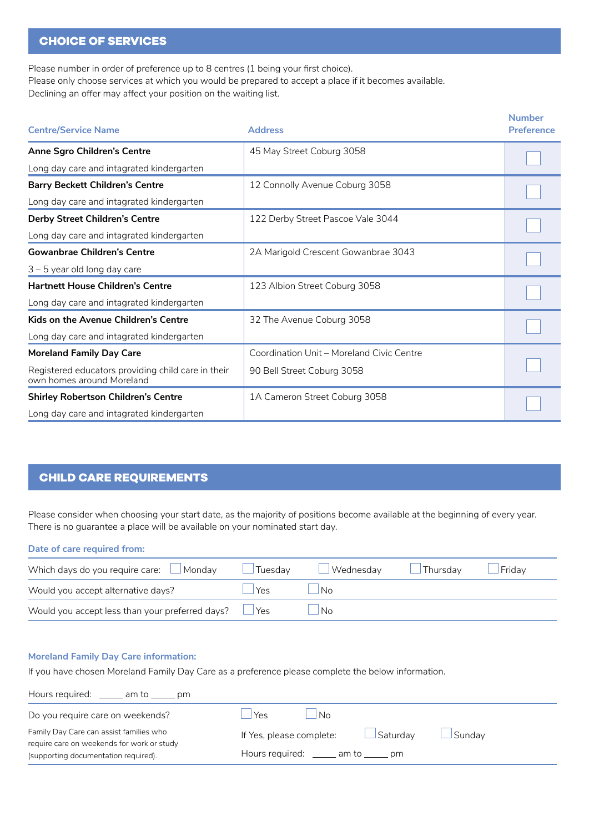### **CHOICE OF SERVICES**

Please number in order of preference up to 8 centres (1 being your first choice). Please only choose services at which you would be prepared to accept a place if it becomes available. Declining an offer may affect your position on the waiting list.

| <b>Centre/Service Name</b>                                                      | <b>Address</b>                            | <b>Number</b><br><b>Preference</b> |
|---------------------------------------------------------------------------------|-------------------------------------------|------------------------------------|
| Anne Sgro Children's Centre                                                     | 45 May Street Coburg 3058                 |                                    |
| Long day care and intagrated kindergarten                                       |                                           |                                    |
| <b>Barry Beckett Children's Centre</b>                                          | 12 Connolly Avenue Coburg 3058            |                                    |
| Long day care and intagrated kindergarten                                       |                                           |                                    |
| <b>Derby Street Children's Centre</b>                                           | 122 Derby Street Pascoe Vale 3044         |                                    |
| Long day care and intagrated kindergarten                                       |                                           |                                    |
| <b>Gowanbrae Children's Centre</b>                                              | 2A Marigold Crescent Gowanbrae 3043       |                                    |
| $3 - 5$ year old long day care                                                  |                                           |                                    |
| <b>Hartnett House Children's Centre</b>                                         | 123 Albion Street Coburg 3058             |                                    |
| Long day care and intagrated kindergarten                                       |                                           |                                    |
| Kids on the Avenue Children's Centre                                            | 32 The Avenue Coburg 3058                 |                                    |
| Long day care and intagrated kindergarten                                       |                                           |                                    |
| <b>Moreland Family Day Care</b>                                                 | Coordination Unit - Moreland Civic Centre |                                    |
| Registered educators providing child care in their<br>own homes around Moreland | 90 Bell Street Coburg 3058                |                                    |
| <b>Shirley Robertson Children's Centre</b>                                      | 1A Cameron Street Coburg 3058             |                                    |
| Long day care and intagrated kindergarten                                       |                                           |                                    |

## **CHILD CARE REQUIREMENTS**

Please consider when choosing your start date, as the majority of positions become available at the beginning of every year. There is no guarantee a place will be available on your nominated start day.

#### **Date of care required from:**

| Which days do you require care: $\Box$ Monday              | $\Box$ Tuesdav | ■ Wednesday ■ Thursday ■ Friday |  |
|------------------------------------------------------------|----------------|---------------------------------|--|
| Would you accept alternative days?                         | Yes.           | $\overline{\phantom{a}}$ No     |  |
| Would you accept less than your preferred days? $\Box$ Yes |                | - I No                          |  |

#### **Moreland Family Day Care information:**

If you have chosen Moreland Family Day Care as a preference please complete the below information.

| Hours required: ______ am to ______ pm                                                |                                        |                |                 |        |
|---------------------------------------------------------------------------------------|----------------------------------------|----------------|-----------------|--------|
| Do you require care on weekends?                                                      | Yes                                    | N <sub>o</sub> |                 |        |
| Family Day Care can assist families who<br>require care on weekends for work or study | If Yes, please complete:               |                | $\Box$ Saturday | Sunday |
| (supporting documentation required).                                                  | Hours required: ______ am to ______ pm |                |                 |        |